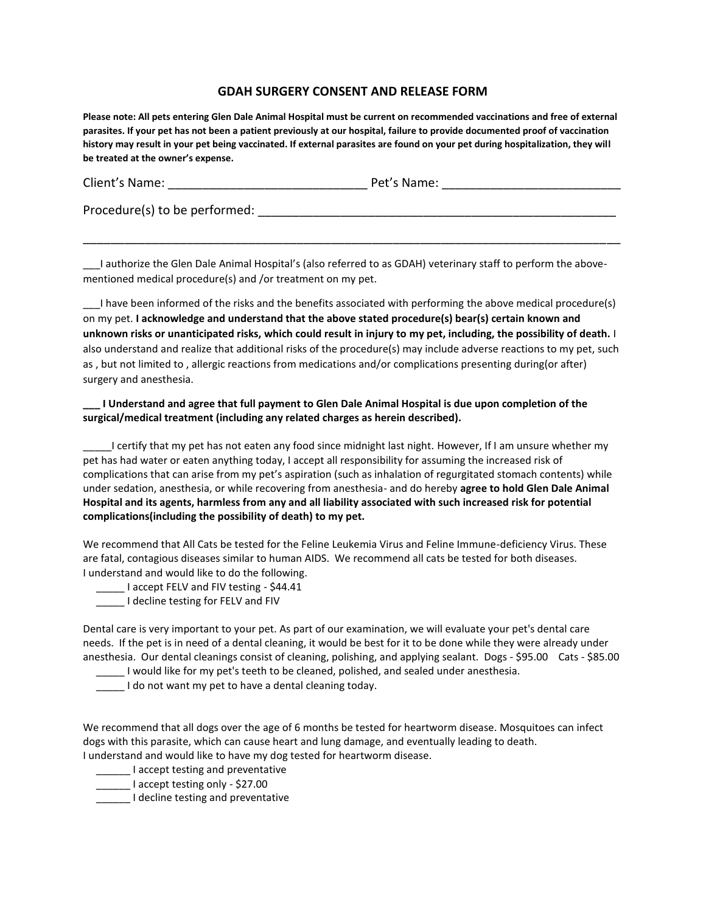## **GDAH SURGERY CONSENT AND RELEASE FORM**

**Please note: All pets entering Glen Dale Animal Hospital must be current on recommended vaccinations and free of external parasites. If your pet has not been a patient previously at our hospital, failure to provide documented proof of vaccination history may result in your pet being vaccinated. If external parasites are found on your pet during hospitalization, they will be treated at the owner's expense.** 

| Client's Name: | Pet's Name: |
|----------------|-------------|
|                |             |

Procedure(s) to be performed:  $\blacksquare$ 

\_\_\_I authorize the Glen Dale Animal Hospital's (also referred to as GDAH) veterinary staff to perform the abovementioned medical procedure(s) and /or treatment on my pet.

\_\_\_\_\_\_\_\_\_\_\_\_\_\_\_\_\_\_\_\_\_\_\_\_\_\_\_\_\_\_\_\_\_\_\_\_\_\_\_\_\_\_\_\_\_\_\_\_\_\_\_\_\_\_\_\_\_\_\_\_\_\_\_\_\_\_\_\_\_\_\_\_\_\_\_\_\_\_

I have been informed of the risks and the benefits associated with performing the above medical procedure(s) on my pet. **I acknowledge and understand that the above stated procedure(s) bear(s) certain known and unknown risks or unanticipated risks, which could result in injury to my pet, including, the possibility of death.** I also understand and realize that additional risks of the procedure(s) may include adverse reactions to my pet, such as , but not limited to , allergic reactions from medications and/or complications presenting during(or after) surgery and anesthesia.

## **\_\_\_ I Understand and agree that full payment to Glen Dale Animal Hospital is due upon completion of the surgical/medical treatment (including any related charges as herein described).**

\_\_\_\_\_I certify that my pet has not eaten any food since midnight last night. However, If I am unsure whether my pet has had water or eaten anything today, I accept all responsibility for assuming the increased risk of complications that can arise from my pet's aspiration (such as inhalation of regurgitated stomach contents) while under sedation, anesthesia, or while recovering from anesthesia- and do hereby **agree to hold Glen Dale Animal Hospital and its agents, harmless from any and all liability associated with such increased risk for potential complications(including the possibility of death) to my pet.** 

We recommend that All Cats be tested for the Feline Leukemia Virus and Feline Immune-deficiency Virus. These are fatal, contagious diseases similar to human AIDS. We recommend all cats be tested for both diseases. I understand and would like to do the following.

Laccept FELV and FIV testing - \$44.41

\_\_\_\_\_ I decline testing for FELV and FIV

Dental care is very important to your pet. As part of our examination, we will evaluate your pet's dental care needs. If the pet is in need of a dental cleaning, it would be best for it to be done while they were already under anesthesia. Our dental cleanings consist of cleaning, polishing, and applying sealant. Dogs - \$95.00 Cats - \$85.00

\_\_\_\_\_ I would like for my pet's teeth to be cleaned, polished, and sealed under anesthesia.

\_\_\_\_\_ I do not want my pet to have a dental cleaning today.

We recommend that all dogs over the age of 6 months be tested for heartworm disease. Mosquitoes can infect dogs with this parasite, which can cause heart and lung damage, and eventually leading to death. I understand and would like to have my dog tested for heartworm disease.

- **\_\_\_\_\_\_** I accept testing and preventative
- Letter 1 accept testing only \$27.00
- \_\_\_\_\_\_ I decline testing and preventative